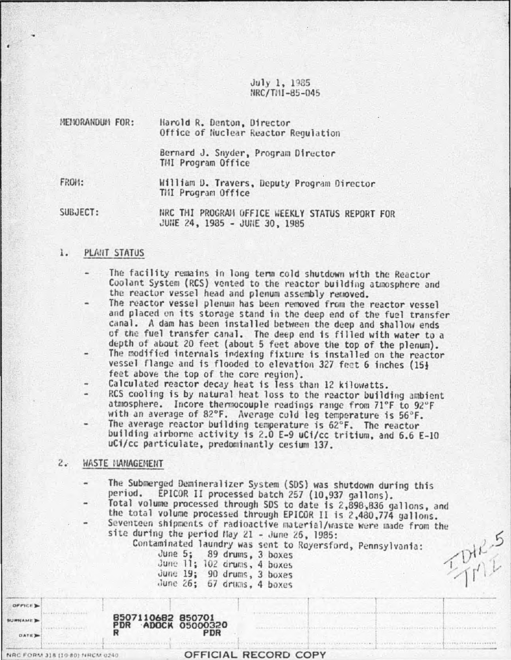# July 1, 1985 NRC/TNI-85-045

| NENORANDUM FOR: | Harold R. Denton, Director<br>Office of Nuclear Reactor Regulation |
|-----------------|--------------------------------------------------------------------|
|                 | Bernard J. Snyder, Program Director<br>TMI Program Office          |
| FROM:           | William D. Travers, Deputy Program Director<br>THI Program Office  |
| SUBJECT:        | NRC THI PROGRAM OFFICE WEEKLY STATUS REPORT FOR                    |

JUNE 24, 1985 - JUNE 30, 1985

#### 1. PLANT STATUS

The facility remains in long term cold shutdown with the Reactor Coolant System (RCS) vented to the reactor building atmosphere and the reactor vessel head and plenum assembly removed.

The reactor vessel plenum has been removed from the reactor vessel and placed on its storage stand in the deep end of the fuel transfer canal. A dam has been installed between the deep and shallow ends of the fuel transfer canal. The deep end is filled with water to a depth of about 20 feet (about 5 feet above the top of the plenum). The modified internals indexing fixture is installed on the reactor vessel flange and is flooded to elevation 327 feet 6 inches (15} feet above the top of the core region).

- Calculated reactor decay heat is less than 12 kilowatts.
- RCS cooling is by natural heat loss to the reactor building ambient atmosphere. Incore thermocouple readings range from 71°F to 92°F with an average of 82°F. Average cold leg temperature is 56°F.
- The average reactor building temperature is 62°F. The reactor building airborne activity is 2.0 E-9 uCi/cc tritium, and 6.6 E-10 uCi/cc particulate, predominantly cesium 137.

#### $2.5$ **HASTE HANAGEMENT**

The Submerged Demineralizer System (SDS) was shutdown during this EPICOR II processed batch 257 (10,937 gallons). period.

- Total volume processed through SDS to date is 2,898,836 gallons, and the total volume processed through EPICOR II is 2,480,774 gallons. Seventeen shipments of radioactive material/waste were made from the
	- site during the period Hay 21 June 26, 1985:

Contaminated laundry was sent to Royersford, Pennsylvania: June 5; 89 drums, 3 boxes

 $D_{\text{H}}^{\text{R}}$ 

June 11; 102 drums, 4 boxes June 19; 90 drums, 3 boxes June 26; 67 drums, 4 boxes

**PDR** 

8507110682 850701<br>PDR ADOCK 05000320

NRC FORS

OFFICE >

**JWNAME** 

DATE)

**OFFICIAL RECORD COPY**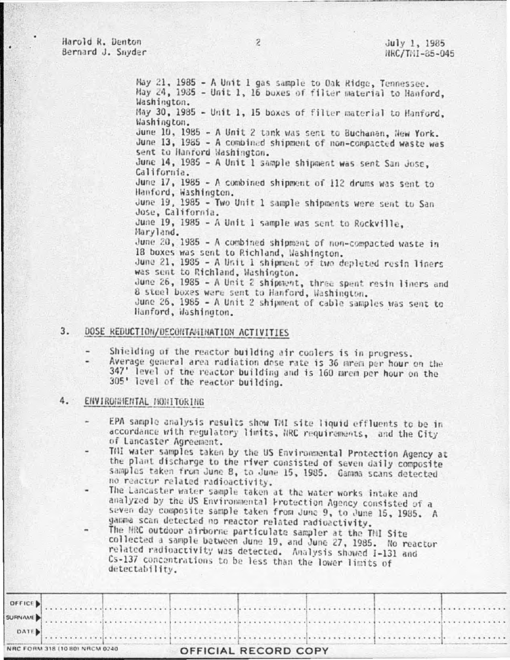Harold R. Denton Bernard J. Snyder

May 21, 1985 - A Unit 1 gas sample to Oak Ridge, Tennessee. May 24, 1985 - Unit 1, 16 buxes of filter material to Hanford, Washington. May 30, 1985 - Unit 1, 15 boxes of filter material to Hanford. Washington. June 10, 1985 - A Unit 2 tank was sent to Buchanan, New York. June 13, 1985 - A combined shipment of non-compacted waste was sent to Hanford Washington. June 14, 1985 - A Unit 1 sample shipment was sent San Jose. California. June 17, 1985 - A combined shipment of 112 drums was sent to Hanford, Washington. June 19, 1985 - Two Unit 1 sample shipments were sent to San Jose, California. June 19, 1985 - A Unit 1 sample was sent to Rockville, Maryland. June 20, 1985 - A combined shipment of non-compacted waste in 18 boxes was sent to Richland, Washington. June 21, 1985 - A Unit 1 shipment of two depleted resin liners was sent to Richland, Washington. June 26, 1985 - A Unit 2 shipment, three spent resin liners and 8 steel boxes were sent to Hanford, Washington. June 26, 1985 - A Unit 2 shipment of cable samples was sent to Hanford, Washington.

### $3.$ DOSE REDUCTION/DECONTANINATION ACTIVITIES

- Shielding of the reactor building air coolers is in progress.
- Average general area radiation dose rate is 36 mrem per hour on the 347' level of the reactor building and is 160 mrem per hour on the 305' level of the reactor building.

# 4. ENVIRONMENTAL MONITORING

- EPA sample analysis results show TMI site liquid effluents to be in accordance with regulatory limits, NRC requirements, and the City of Lancaster Agreement.
- THI water samples taken by the US Environmental Protection Agency at the plant discharge to the river consisted of seven daily composite samples taken from June 8, to June 15, 1985. Gamma scans detected no reactor related radioactivity.
- The Lancaster water sample taken at the water works intake and analyzed by the US Environmental Frotection Agency consisted of a seven day composite sample taken from June 9, to June 15, 1985. A gamma scan detected no reactor related radioactivity.
- The NRC outdoor airborne particulate sampler at the Thi Site collected a sample between dune 19, and June 27, 1985. No reactor related radioactivity was detected. Analysis showed I-131 and Cs-137 concentrations to be less than the lower limits of detectability.

| NRC FORM 318 (10 80) NRCM 0240         | OFFICIAL RECORD COPY |  |  |
|----------------------------------------|----------------------|--|--|
| $\bullet$ DATE)                        |                      |  |  |
| $\bullet$ office $\blacktriangleright$ |                      |  |  |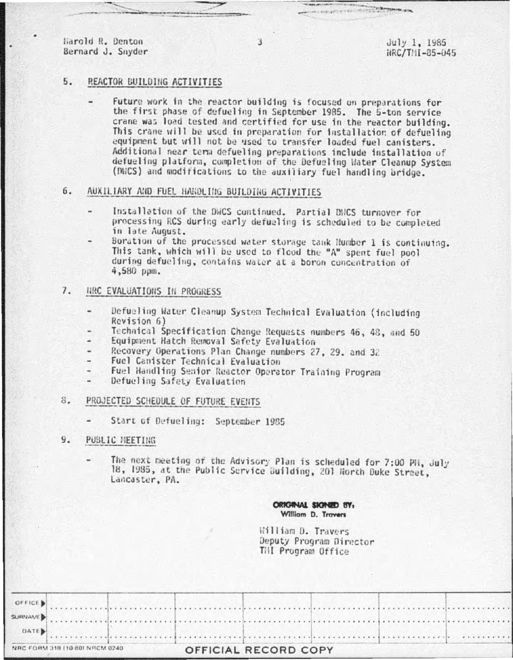Harold R. Denton Bernard J. Snyder

July 1, 1985 HRC/TMI-85-045

**Common Street, Street, Square, Square, Square, Square, Square, Square, Square, Square, Square, Square, Square, Square, Square, Square, Square, Square, Square, Square, Square, Square, Square, Square, Square, Square, Square** 

#### 5. REACTOR BUILDING ACTIVITIES

Future work in the reactor building is focused on preparations for the first phase of defueling in September 1985. The 5-ton service crane was load tested and certified for use in the reactor building. This crane will be used in preparation for installation of defueling equipment but will not be used to transfer loaded fuel canisters. Additional near term defueling preparations include installation of defueling platform, completion of the Defueling Hater Cleanup System (DWCS) and modifications to the auxiliary fuel handling bridge.

 $\overline{3}$ 

- 6. AUXILIARY AND FUEL HANDLING BUILDING ACTIVITIES
	- Installation of the DWCS continued. Partial DWCS turnover for processing RCS during early defueling is scheduled to be completed in late August.
	- Boration of the processed water storage tank Number 1 is continuing. This tank, which will be used to flood the "A" spent fuel pool during defueling, contains water at a boron concentration of 4,580 ppm.

### 7. HRC EVALUATIONS IN PROGRESS

- Defueling Water Cleanup System Technical Evaluation (including Revision 6)
- Technical Specification Change Requests numbers 46, 48, and 50
- Equipment Hatch Removal Safety Evaluation
- Recovery Operations Plan Change numbers 27, 29. and 32
- Fuel Canister Technical Evaluation
- Fuel Handling Senior Reactor Operator Training Program
- Defueling Safety Evaluation

#### 8. PROJECTED SCHEDULE OF FUTURE EVENTS

Start of Defueling: September 1985

#### $9.$ PUBLIC MEETING

The next meeting of the Advisory Plan is scheduled for 7:00 PH, July 18, 1985, at the Public Service Building, 201 North Duke Street, Lancaster, PA.

## ORIGINAL SIGNED BY, William D. Travers

William D. Travers Deputy Program Director Till Program Office

| OFFICE )                       |  |                      |  |  |  |  |  |  |  |
|--------------------------------|--|----------------------|--|--|--|--|--|--|--|
|                                |  |                      |  |  |  |  |  |  |  |
| NRC FORM 318 (10 80) NRCM 0240 |  | OFFICIAL RECORD COPY |  |  |  |  |  |  |  |